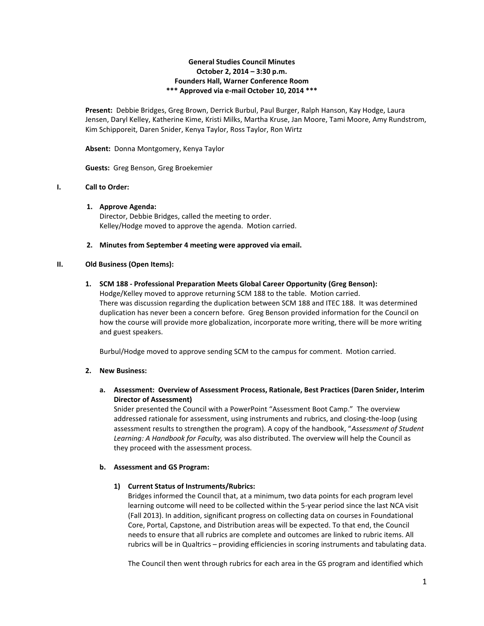### **General Studies Council Minutes October 2, 2014 – 3:30 p.m. Founders Hall, Warner Conference Room \*\*\* Approved via e-mail October 10, 2014 \*\*\***

**Present:** Debbie Bridges, Greg Brown, Derrick Burbul, Paul Burger, Ralph Hanson, Kay Hodge, Laura Jensen, Daryl Kelley, Katherine Kime, Kristi Milks, Martha Kruse, Jan Moore, Tami Moore, Amy Rundstrom, Kim Schipporeit, Daren Snider, Kenya Taylor, Ross Taylor, Ron Wirtz

**Absent:** Donna Montgomery, Kenya Taylor

**Guests:** Greg Benson, Greg Broekemier

# **I. Call to Order:**

**1. Approve Agenda:**

Director, Debbie Bridges, called the meeting to order. Kelley/Hodge moved to approve the agenda. Motion carried.

**2. Minutes from September 4 meeting were approved via email.**

### **II. Old Business (Open Items):**

#### **1. SCM 188 - Professional Preparation Meets Global Career Opportunity (Greg Benson):**

Hodge/Kelley moved to approve returning SCM 188 to the table. Motion carried. There was discussion regarding the duplication between SCM 188 and ITEC 188. It was determined duplication has never been a concern before. Greg Benson provided information for the Council on how the course will provide more globalization, incorporate more writing, there will be more writing and guest speakers.

Burbul/Hodge moved to approve sending SCM to the campus for comment. Motion carried.

### **2. New Business:**

# **a. Assessment: Overview of Assessment Process, Rationale, Best Practices (Daren Snider, Interim Director of Assessment)**

Snider presented the Council with a PowerPoint "Assessment Boot Camp." The overview addressed rationale for assessment, using instruments and rubrics, and closing-the-loop (using assessment results to strengthen the program). A copy of the handbook, "*Assessment of Student Learning: A Handbook for Faculty,* was also distributed. The overview will help the Council as they proceed with the assessment process.

### **b. Assessment and GS Program:**

### **1) Current Status of Instruments/Rubrics:**

Bridges informed the Council that, at a minimum, two data points for each program level learning outcome will need to be collected within the 5-year period since the last NCA visit (Fall 2013). In addition, significant progress on collecting data on courses in Foundational Core, Portal, Capstone, and Distribution areas will be expected. To that end, the Council needs to ensure that all rubrics are complete and outcomes are linked to rubric items. All rubrics will be in Qualtrics – providing efficiencies in scoring instruments and tabulating data.

The Council then went through rubrics for each area in the GS program and identified which